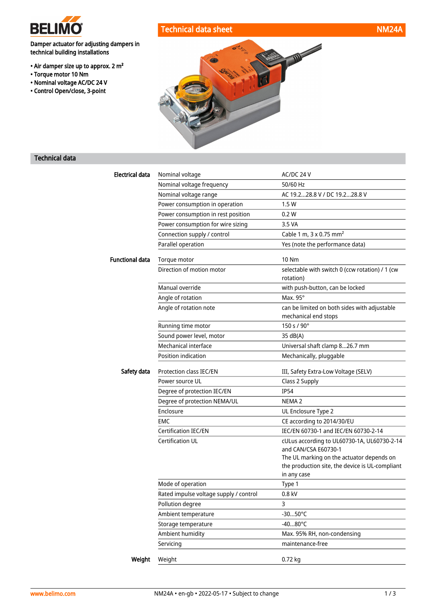

• Torque motor 10 Nm • Nominal voltage AC/DC 24 V • Control Open/close, 3-point

Damper actuator for adjusting dampers in

technical building installations

• Air damper size up to approx. 2 m²

# Technical data sheet NM24A



## Technical data

| <b>Electrical data</b> | Nominal voltage                        | AC/DC 24 V                                                                                                  |
|------------------------|----------------------------------------|-------------------------------------------------------------------------------------------------------------|
|                        | Nominal voltage frequency              | 50/60 Hz                                                                                                    |
|                        | Nominal voltage range                  | AC 19.228.8 V / DC 19.228.8 V                                                                               |
|                        | Power consumption in operation         | 1.5W                                                                                                        |
|                        | Power consumption in rest position     | 0.2 W                                                                                                       |
|                        | Power consumption for wire sizing      | 3.5 VA                                                                                                      |
|                        | Connection supply / control            | Cable 1 m, 3 x 0.75 mm <sup>2</sup>                                                                         |
|                        | Parallel operation                     | Yes (note the performance data)                                                                             |
| <b>Functional data</b> | Torque motor                           | <b>10 Nm</b>                                                                                                |
|                        | Direction of motion motor              | selectable with switch 0 (ccw rotation) / 1 (cw<br>rotation)                                                |
|                        | Manual override                        | with push-button, can be locked                                                                             |
|                        | Angle of rotation                      | Max. 95°                                                                                                    |
|                        | Angle of rotation note                 | can be limited on both sides with adjustable<br>mechanical end stops                                        |
|                        | Running time motor                     | 150 s / 90°                                                                                                 |
|                        | Sound power level, motor               | 35 dB(A)                                                                                                    |
|                        | Mechanical interface                   | Universal shaft clamp 826.7 mm                                                                              |
|                        | Position indication                    | Mechanically, pluggable                                                                                     |
| Safety data            | Protection class IEC/EN                | III, Safety Extra-Low Voltage (SELV)                                                                        |
|                        | Power source UL                        | Class 2 Supply                                                                                              |
|                        | Degree of protection IEC/EN            | <b>IP54</b>                                                                                                 |
|                        | Degree of protection NEMA/UL           | NEMA <sub>2</sub>                                                                                           |
|                        | Enclosure                              | UL Enclosure Type 2                                                                                         |
|                        | <b>EMC</b>                             | CE according to 2014/30/EU                                                                                  |
|                        | <b>Certification IEC/EN</b>            | IEC/EN 60730-1 and IEC/EN 60730-2-14                                                                        |
|                        | Certification UL                       | cULus according to UL60730-1A, UL60730-2-14<br>and CAN/CSA E60730-1                                         |
|                        |                                        | The UL marking on the actuator depends on<br>the production site, the device is UL-compliant<br>in any case |
|                        | Mode of operation                      | Type 1                                                                                                      |
|                        | Rated impulse voltage supply / control | 0.8 kV                                                                                                      |
|                        | Pollution degree                       | 3                                                                                                           |
|                        | Ambient temperature                    | $-3050^{\circ}$ C                                                                                           |
|                        | Storage temperature                    | $-4080^{\circ}$ C                                                                                           |
|                        | Ambient humidity                       | Max. 95% RH, non-condensing                                                                                 |
|                        | Servicing                              | maintenance-free                                                                                            |
| Weight                 | Weight                                 | 0.72 kg                                                                                                     |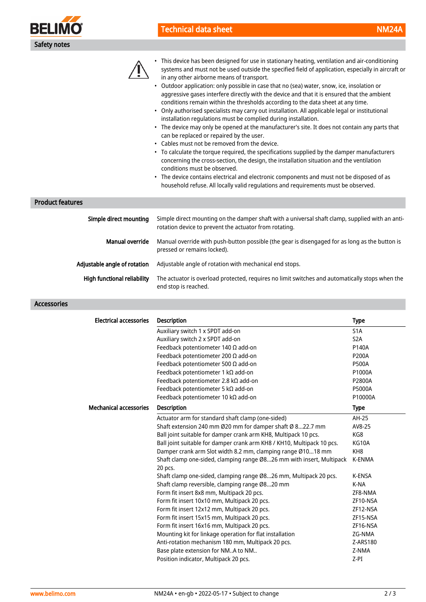

## Technical data sheet NM24A



• This device has been designed for use in stationary heating, ventilation and air-conditioning systems and must not be used outside the specified field of application, especially in aircraft or in any other airborne means of transport.

- Outdoor application: only possible in case that no (sea) water, snow, ice, insolation or aggressive gases interfere directly with the device and that it is ensured that the ambient conditions remain within the thresholds according to the data sheet at any time.
- Only authorised specialists may carry out installation. All applicable legal or institutional installation regulations must be complied during installation.
- The device may only be opened at the manufacturer's site. It does not contain any parts that can be replaced or repaired by the user.
- Cables must not be removed from the device.
- To calculate the torque required, the specifications supplied by the damper manufacturers concerning the cross-section, the design, the installation situation and the ventilation conditions must be observed.
- The device contains electrical and electronic components and must not be disposed of as household refuse. All locally valid regulations and requirements must be observed.

#### Product features

| Simple direct mounting             | Simple direct mounting on the damper shaft with a universal shaft clamp, supplied with an anti-<br>rotation device to prevent the actuator from rotating. |  |
|------------------------------------|-----------------------------------------------------------------------------------------------------------------------------------------------------------|--|
| Manual override                    | Manual override with push-button possible (the gear is disengaged for as long as the button is<br>pressed or remains locked).                             |  |
| Adjustable angle of rotation       | Adjustable angle of rotation with mechanical end stops.                                                                                                   |  |
| <b>High functional reliability</b> | The actuator is overload protected, requires no limit switches and automatically stops when the<br>end stop is reached.                                   |  |

#### Accessories

| <b>Electrical accessories</b> | <b>Description</b>                                                              | <b>Type</b>      |
|-------------------------------|---------------------------------------------------------------------------------|------------------|
|                               | Auxiliary switch 1 x SPDT add-on                                                | S <sub>1</sub> A |
|                               | Auxiliary switch 2 x SPDT add-on                                                | S <sub>2</sub> A |
|                               | Feedback potentiometer 140 $\Omega$ add-on                                      | P140A            |
|                               | Feedback potentiometer 200 $\Omega$ add-on                                      | P200A            |
|                               | Feedback potentiometer 500 $\Omega$ add-on                                      | <b>P500A</b>     |
|                               | Feedback potentiometer 1 kΩ add-on                                              | P1000A           |
|                               | Feedback potentiometer 2.8 kΩ add-on                                            | P2800A           |
|                               | Feedback potentiometer 5 kΩ add-on                                              | P5000A           |
|                               | Feedback potentiometer 10 kΩ add-on                                             | P10000A          |
| <b>Mechanical accessories</b> | <b>Description</b>                                                              | <b>Type</b>      |
|                               | Actuator arm for standard shaft clamp (one-sided)                               | AH-25            |
|                               | Shaft extension 240 mm Ø20 mm for damper shaft Ø 822.7 mm                       | AV8-25           |
|                               | Ball joint suitable for damper crank arm KH8, Multipack 10 pcs.                 | KG8              |
|                               | Ball joint suitable for damper crank arm KH8 / KH10, Multipack 10 pcs.          | KG10A            |
|                               | Damper crank arm Slot width 8.2 mm, clamping range Ø1018 mm                     | KH <sub>8</sub>  |
|                               | Shaft clamp one-sided, clamping range Ø826 mm with insert, Multipack<br>20 pcs. | K-ENMA           |
|                               | Shaft clamp one-sided, clamping range Ø826 mm, Multipack 20 pcs.                | K-ENSA           |
|                               | Shaft clamp reversible, clamping range Ø820 mm                                  | K-NA             |
|                               | Form fit insert 8x8 mm, Multipack 20 pcs.                                       | ZF8-NMA          |
|                               | Form fit insert 10x10 mm, Multipack 20 pcs.                                     | ZF10-NSA         |
|                               | Form fit insert 12x12 mm, Multipack 20 pcs.                                     | ZF12-NSA         |
|                               | Form fit insert 15x15 mm, Multipack 20 pcs.                                     | ZF15-NSA         |
|                               | Form fit insert 16x16 mm, Multipack 20 pcs.                                     | ZF16-NSA         |
|                               | Mounting kit for linkage operation for flat installation                        | ZG-NMA           |
|                               | Anti-rotation mechanism 180 mm, Multipack 20 pcs.                               | Z-ARS180         |
|                               | Base plate extension for NMA to NM                                              | Z-NMA            |
|                               | Position indicator, Multipack 20 pcs.                                           | $Z-PI$           |